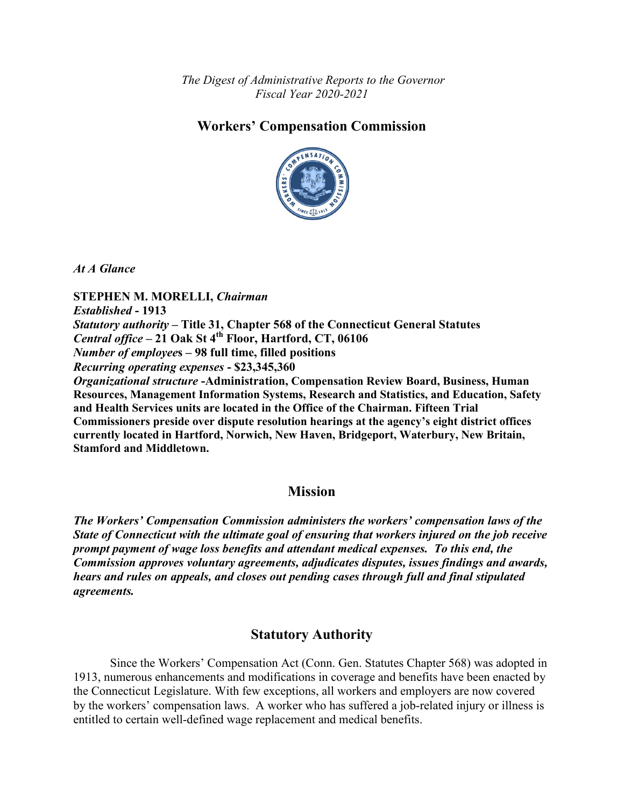*The Digest of Administrative Reports to the Governor Fiscal Year 2020-2021*

# **Workers' Compensation Commission**



*At A Glance*

**STEPHEN M. MORELLI,** *Chairman Established* **- 1913** *Statutory authority* **– Title 31, Chapter 568 of the Connecticut General Statutes**  *Central office* **– 21 Oak St 4th Floor, Hartford, CT, 06106** *Number of employee***s – 98 full time, filled positions** *Recurring operating expenses* **- \$23,345,360** *Organizational structure* **-Administration, Compensation Review Board, Business, Human Resources, Management Information Systems, Research and Statistics, and Education, Safety and Health Services units are located in the Office of the Chairman. Fifteen Trial Commissioners preside over dispute resolution hearings at the agency's eight district offices currently located in Hartford, Norwich, New Haven, Bridgeport, Waterbury, New Britain, Stamford and Middletown.**

### **Mission**

*The Workers' Compensation Commission administers the workers' compensation laws of the State of Connecticut with the ultimate goal of ensuring that workers injured on the job receive prompt payment of wage loss benefits and attendant medical expenses. To this end, the Commission approves voluntary agreements, adjudicates disputes, issues findings and awards, hears and rules on appeals, and closes out pending cases through full and final stipulated agreements.*

### **Statutory Authority**

Since the Workers' Compensation Act (Conn. Gen. Statutes Chapter 568) was adopted in 1913, numerous enhancements and modifications in coverage and benefits have been enacted by the Connecticut Legislature. With few exceptions, all workers and employers are now covered by the workers' compensation laws. A worker who has suffered a job-related injury or illness is entitled to certain well-defined wage replacement and medical benefits.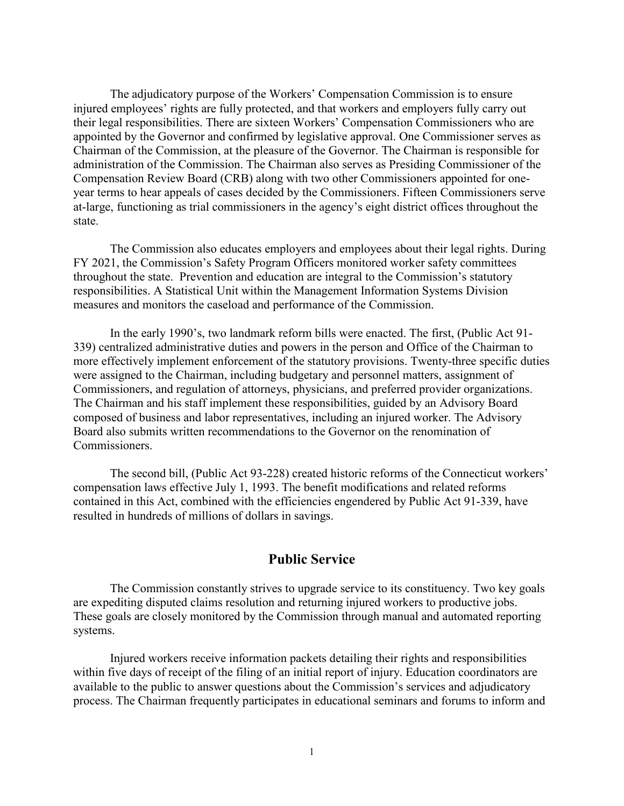The adjudicatory purpose of the Workers' Compensation Commission is to ensure injured employees' rights are fully protected, and that workers and employers fully carry out their legal responsibilities. There are sixteen Workers' Compensation Commissioners who are appointed by the Governor and confirmed by legislative approval. One Commissioner serves as Chairman of the Commission, at the pleasure of the Governor. The Chairman is responsible for administration of the Commission. The Chairman also serves as Presiding Commissioner of the Compensation Review Board (CRB) along with two other Commissioners appointed for oneyear terms to hear appeals of cases decided by the Commissioners. Fifteen Commissioners serve at-large, functioning as trial commissioners in the agency's eight district offices throughout the state.

The Commission also educates employers and employees about their legal rights. During FY 2021, the Commission's Safety Program Officers monitored worker safety committees throughout the state. Prevention and education are integral to the Commission's statutory responsibilities. A Statistical Unit within the Management Information Systems Division measures and monitors the caseload and performance of the Commission.

In the early 1990's, two landmark reform bills were enacted. The first, (Public Act 91- 339) centralized administrative duties and powers in the person and Office of the Chairman to more effectively implement enforcement of the statutory provisions. Twenty-three specific duties were assigned to the Chairman, including budgetary and personnel matters, assignment of Commissioners, and regulation of attorneys, physicians, and preferred provider organizations. The Chairman and his staff implement these responsibilities, guided by an Advisory Board composed of business and labor representatives, including an injured worker. The Advisory Board also submits written recommendations to the Governor on the renomination of Commissioners.

The second bill, (Public Act 93-228) created historic reforms of the Connecticut workers' compensation laws effective July 1, 1993. The benefit modifications and related reforms contained in this Act, combined with the efficiencies engendered by Public Act 91-339, have resulted in hundreds of millions of dollars in savings.

#### **Public Service**

The Commission constantly strives to upgrade service to its constituency. Two key goals are expediting disputed claims resolution and returning injured workers to productive jobs. These goals are closely monitored by the Commission through manual and automated reporting systems.

Injured workers receive information packets detailing their rights and responsibilities within five days of receipt of the filing of an initial report of injury. Education coordinators are available to the public to answer questions about the Commission's services and adjudicatory process. The Chairman frequently participates in educational seminars and forums to inform and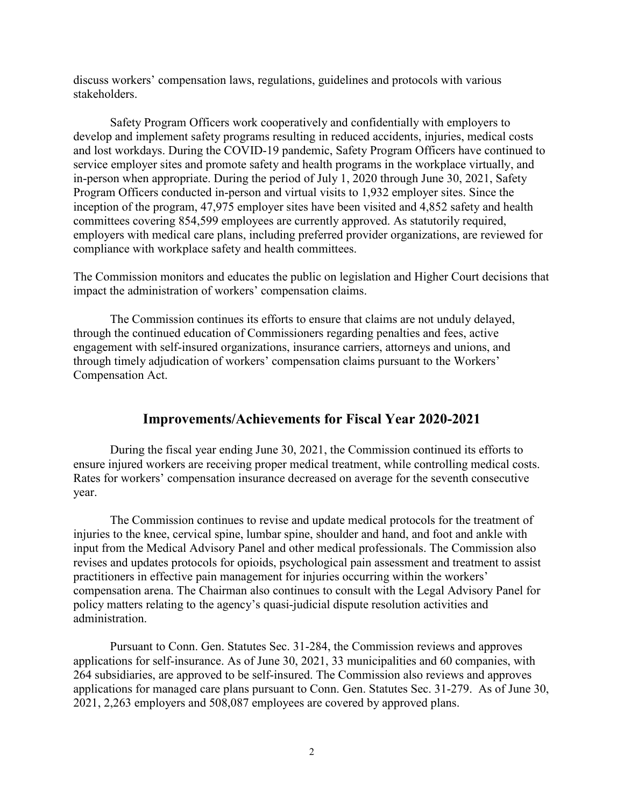discuss workers' compensation laws, regulations, guidelines and protocols with various stakeholders.

Safety Program Officers work cooperatively and confidentially with employers to develop and implement safety programs resulting in reduced accidents, injuries, medical costs and lost workdays. During the COVID-19 pandemic, Safety Program Officers have continued to service employer sites and promote safety and health programs in the workplace virtually, and in-person when appropriate. During the period of July 1, 2020 through June 30, 2021, Safety Program Officers conducted in-person and virtual visits to 1,932 employer sites. Since the inception of the program, 47,975 employer sites have been visited and 4,852 safety and health committees covering 854,599 employees are currently approved. As statutorily required, employers with medical care plans, including preferred provider organizations, are reviewed for compliance with workplace safety and health committees.

The Commission monitors and educates the public on legislation and Higher Court decisions that impact the administration of workers' compensation claims.

The Commission continues its efforts to ensure that claims are not unduly delayed, through the continued education of Commissioners regarding penalties and fees, active engagement with self-insured organizations, insurance carriers, attorneys and unions, and through timely adjudication of workers' compensation claims pursuant to the Workers' Compensation Act.

### **Improvements/Achievements for Fiscal Year 2020-2021**

During the fiscal year ending June 30, 2021, the Commission continued its efforts to ensure injured workers are receiving proper medical treatment, while controlling medical costs. Rates for workers' compensation insurance decreased on average for the seventh consecutive year.

The Commission continues to revise and update medical protocols for the treatment of injuries to the knee, cervical spine, lumbar spine, shoulder and hand, and foot and ankle with input from the Medical Advisory Panel and other medical professionals. The Commission also revises and updates protocols for opioids, psychological pain assessment and treatment to assist practitioners in effective pain management for injuries occurring within the workers' compensation arena. The Chairman also continues to consult with the Legal Advisory Panel for policy matters relating to the agency's quasi-judicial dispute resolution activities and administration.

Pursuant to Conn. Gen. Statutes Sec. 31-284, the Commission reviews and approves applications for self-insurance. As of June 30, 2021, 33 municipalities and 60 companies, with 264 subsidiaries, are approved to be self-insured. The Commission also reviews and approves applications for managed care plans pursuant to Conn. Gen. Statutes Sec. 31-279. As of June 30, 2021, 2,263 employers and 508,087 employees are covered by approved plans.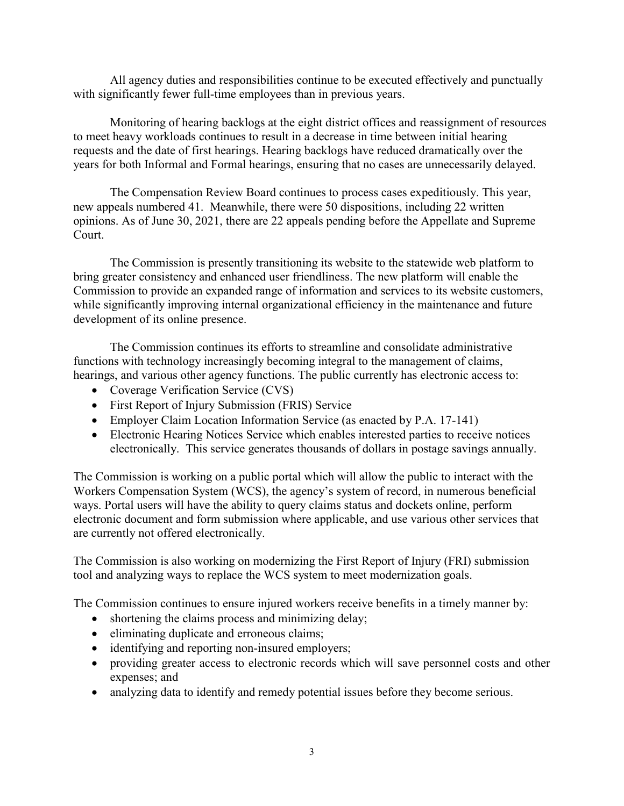All agency duties and responsibilities continue to be executed effectively and punctually with significantly fewer full-time employees than in previous years.

Monitoring of hearing backlogs at the eight district offices and reassignment of resources to meet heavy workloads continues to result in a decrease in time between initial hearing requests and the date of first hearings. Hearing backlogs have reduced dramatically over the years for both Informal and Formal hearings, ensuring that no cases are unnecessarily delayed.

The Compensation Review Board continues to process cases expeditiously. This year, new appeals numbered 41. Meanwhile, there were 50 dispositions, including 22 written opinions. As of June 30, 2021, there are 22 appeals pending before the Appellate and Supreme Court.

The Commission is presently transitioning its website to the statewide web platform to bring greater consistency and enhanced user friendliness. The new platform will enable the Commission to provide an expanded range of information and services to its website customers, while significantly improving internal organizational efficiency in the maintenance and future development of its online presence.

The Commission continues its efforts to streamline and consolidate administrative functions with technology increasingly becoming integral to the management of claims, hearings, and various other agency functions. The public currently has electronic access to:

- Coverage Verification Service (CVS)
- First Report of Injury Submission (FRIS) Service
- Employer Claim Location Information Service (as enacted by P.A. 17-141)
- Electronic Hearing Notices Service which enables interested parties to receive notices electronically. This service generates thousands of dollars in postage savings annually.

The Commission is working on a public portal which will allow the public to interact with the Workers Compensation System (WCS), the agency's system of record, in numerous beneficial ways. Portal users will have the ability to query claims status and dockets online, perform electronic document and form submission where applicable, and use various other services that are currently not offered electronically.

The Commission is also working on modernizing the First Report of Injury (FRI) submission tool and analyzing ways to replace the WCS system to meet modernization goals.

The Commission continues to ensure injured workers receive benefits in a timely manner by:

- shortening the claims process and minimizing delay;
- eliminating duplicate and erroneous claims;
- identifying and reporting non-insured employers;
- providing greater access to electronic records which will save personnel costs and other expenses; and
- analyzing data to identify and remedy potential issues before they become serious.